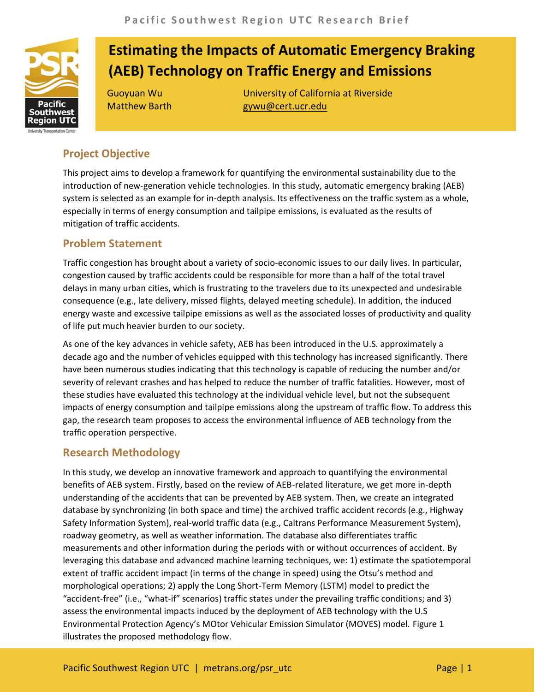

# **Estimating the Impacts of Automatic Emergency Braking (AEB) Technology on Traffic Energy and Emissions**

Guoyuan Wu University of California at Riverside Matthew Barth **gywu@cert.ucr.edu** 

## **Project Objective**

This project aims to develop a framework for quantifying the environmental sustainability due to the introduction of new-generation vehicle technologies. In this study, automatic emergency braking (AEB) system is selected as an example for in-depth analysis. Its effectiveness on the traffic system as a whole, especially in terms of energy consumption and tailpipe emissions, is evaluated as the results of mitigation of traffic accidents.

### **Problem Statement**

Traffic congestion has brought about a variety of socio-economic issues to our daily lives. In particular, congestion caused by traffic accidents could be responsible for more than a half of the total travel delays in many urban cities, which is frustrating to the travelers due to its unexpected and undesirable consequence (e.g., late delivery, missed flights, delayed meeting schedule). In addition, the induced energy waste and excessive tailpipe emissions as well as the associated losses of productivity and quality of life put much heavier burden to our society.

As one of the key advances in vehicle safety, AEB has been introduced in the U.S. approximately a decade ago and the number of vehicles equipped with this technology has increased significantly. There have been numerous studies indicating that this technology is capable of reducing the number and/or severity of relevant crashes and has helped to reduce the number of traffic fatalities. However, most of these studies have evaluated this technology at the individual vehicle level, but not the subsequent impacts of energy consumption and tailpipe emissions along the upstream of traffic flow. To address this gap, the research team proposes to access the environmental influence of AEB technology from the traffic operation perspective.

### **Research Methodology**

In this study, we develop an innovative framework and approach to quantifying the environmental benefits of AEB system. Firstly, based on the review of AEB-related literature, we get more in-depth understanding of the accidents that can be prevented by AEB system. Then, we create an integrated database by synchronizing (in both space and time) the archived traffic accident records (e.g., Highway Safety Information System), real-world traffic data (e.g., Caltrans Performance Measurement System), roadway geometry, as well as weather information. The database also differentiates traffic measurements and other information during the periods with or without occurrences of accident. By leveraging this database and advanced machine learning techniques, we: 1) estimate the spatiotemporal extent of traffic accident impact (in terms of the change in speed) using the Otsu's method and morphological operations; 2) apply the Long Short-Term Memory (LSTM) model to predict the "accident-free" (i.e., "what-if" scenarios) traffic states under the prevailing traffic conditions; and 3) assess the environmental impacts induced by the deployment of AEB technology with the U.S Environmental Protection Agency's MOtor Vehicular Emission Simulator (MOVES) model. Figure 1 illustrates the proposed methodology flow.